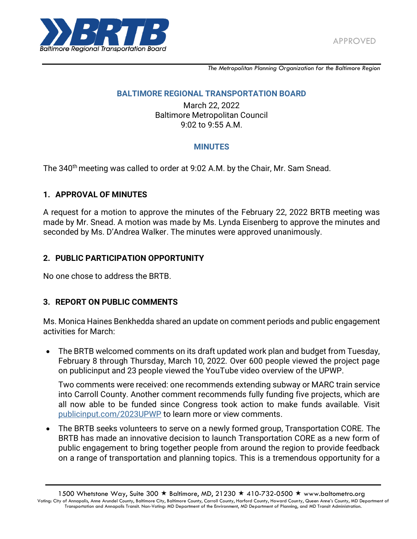

*The Metropolitan Planning Organization for the Baltimore Region*

#### **BALTIMORE REGIONAL TRANSPORTATION BOARD**

March 22, 2022 Baltimore Metropolitan Council 9:02 to 9:55 A.M.

## **MINUTES**

The 340<sup>th</sup> meeting was called to order at 9:02 A.M. by the Chair, Mr. Sam Snead.

#### **1. APPROVAL OF MINUTES**

A request for a motion to approve the minutes of the February 22, 2022 BRTB meeting was made by Mr. Snead. A motion was made by Ms. Lynda Eisenberg to approve the minutes and seconded by Ms. D'Andrea Walker. The minutes were approved unanimously.

## **2. PUBLIC PARTICIPATION OPPORTUNITY**

No one chose to address the BRTB.

## **3. REPORT ON PUBLIC COMMENTS**

Ms. Monica Haines Benkhedda shared an update on comment periods and public engagement activities for March:

 The BRTB welcomed comments on its draft updated work plan and budget from Tuesday, February 8 through Thursday, March 10, 2022. Over 600 people viewed the project page on publicinput and 23 people viewed the YouTube video overview of the UPWP.

Two comments were received: one recommends extending subway or MARC train service into Carroll County. Another comment recommends fully funding five projects, which are all now able to be funded since Congress took action to make funds available. Visit [publicinput.com/2023UPWP](http://publicinput.com/2023UPWP) to learn more or view comments.

 The BRTB seeks volunteers to serve on a newly formed group, Transportation CORE. The BRTB has made an innovative decision to launch Transportation CORE as a new form of public engagement to bring together people from around the region to provide feedback on a range of transportation and planning topics. This is a tremendous opportunity for a

<sup>1500</sup> Whetstone Way, Suite 300  $\star$  Baltimore, MD, 21230  $\star$  410-732-0500  $\star$  www.baltometro.org Voting: City of Annapolis, Anne Arundel County, Baltimore City, Baltimore County, Carroll County, Harford County, Howard Coun ty, Queen Anne's County, MD Department of Transportation and Annapolis Transit. Non-Voting: MD Department of the Environment, MD Department of Planning, and MD Transit Administration.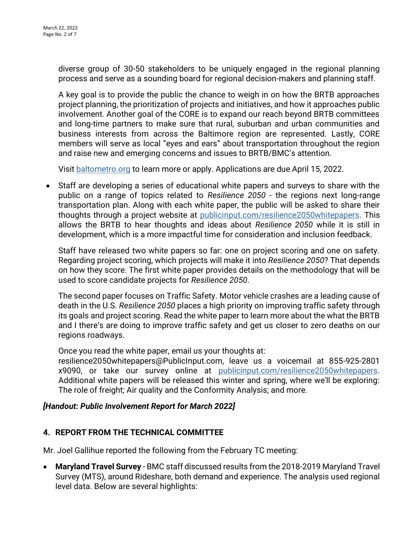diverse group of 30-50 stakeholders to be uniquely engaged in the regional planning process and serve as a sounding board for regional decision-makers and planning staff.

A key goal is to provide the public the chance to weigh in on how the BRTB approaches project planning, the prioritization of projects and initiatives, and how it approaches public involvement. Another goal of the CORE is to expand our reach beyond BRTB committees and long-time partners to make sure that rural, suburban and urban communities and business interests from across the Baltimore region are represented. Lastly, CORE members will serve as local "eyes and ears" about transportation throughout the region and raise new and emerging concerns and issues to BRTB/BMC's attention.

Visit [baltometro.org](http://baltometro.org/) to learn more or apply. Applications are due April 15, 2022.

 Staff are developing a series of educational white papers and surveys to share with the public on a range of topics related to *Resilience 2050* - the regions next long-range transportation plan. Along with each white paper, the public will be asked to share their thoughts through a project website at [publicinput.com/resilience2050whitepapers.](http://publicinput.com/resilience2050whitepapers) This allows the BRTB to hear thoughts and ideas about *Resilience 2050* while it is still in development, which is a more impactful time for consideration and inclusion feedback.

Staff have released two white papers so far: one on project scoring and one on safety. Regarding project scoring, which projects will make it into *Resilience 2050*? That depends on how they score. The first white paper provides details on the methodology that will be used to score candidate projects for *Resilience 2050*.

The second paper focuses on Traffic Safety. Motor vehicle crashes are a leading cause of death in the U.S. *Resilience 2050* places a high priority on improving traffic safety through its goals and project scoring. Read the white paper to learn more about the what the BRTB and I there's are doing to improve traffic safety and get us closer to zero deaths on our regions roadways.

Once you read the white paper, email us your thoughts at:

resilience2050whitepapers@PublicInput.com, leave us a voicemail at 855-925-2801 x9090, or take our survey online at [publicinput.com/resilience2050whitepapers.](http://publicinput.com/resilience2050whitepapers) Additional white papers will be released this winter and spring, where we'll be exploring: The role of freight; Air quality and the Conformity Analysis; and more.

#### *[Handout: Public Involvement Report for March 2022]*

#### **4. REPORT FROM THE TECHNICAL COMMITTEE**

Mr. Joel Gallihue reported the following from the February TC meeting:

 **Maryland Travel Survey** - BMC staff discussed results from the 2018-2019 Maryland Travel Survey (MTS), around Rideshare, both demand and experience. The analysis used regional level data. Below are several highlights: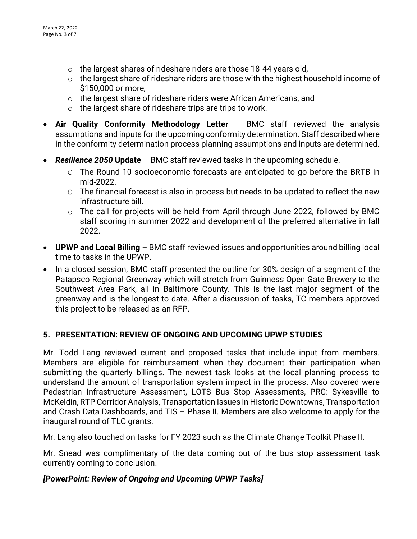- $\circ$  the largest shares of rideshare riders are those 18-44 years old,
- o the largest share of rideshare riders are those with the highest household income of \$150,000 or more,
- o the largest share of rideshare riders were African Americans, and
- $\circ$  the largest share of rideshare trips are trips to work.
- **Air Quality Conformity Methodology Letter** BMC staff reviewed the analysis assumptions and inputs for the upcoming conformity determination. Staff described where in the conformity determination process planning assumptions and inputs are determined.
- *Resilience 2050* **Update** BMC staff reviewed tasks in the upcoming schedule.
	- O The Round 10 socioeconomic forecasts are anticipated to go before the BRTB in mid-2022.
	- O The financial forecast is also in process but needs to be updated to reflect the new infrastructure bill.
	- o The call for projects will be held from April through June 2022, followed by BMC staff scoring in summer 2022 and development of the preferred alternative in fall 2022.
- **UPWP and Local Billing** BMC staff reviewed issues and opportunities around billing local time to tasks in the UPWP.
- In a closed session, BMC staff presented the outline for 30% design of a segment of the Patapsco Regional Greenway which will stretch from Guinness Open Gate Brewery to the Southwest Area Park, all in Baltimore County. This is the last major segment of the greenway and is the longest to date. After a discussion of tasks, TC members approved this project to be released as an RFP.

## **5. PRESENTATION: REVIEW OF ONGOING AND UPCOMING UPWP STUDIES**

Mr. Todd Lang reviewed current and proposed tasks that include input from members. Members are eligible for reimbursement when they document their participation when submitting the quarterly billings. The newest task looks at the local planning process to understand the amount of transportation system impact in the process. Also covered were Pedestrian Infrastructure Assessment, LOTS Bus Stop Assessments, PRG: Sykesville to McKeldin, RTP Corridor Analysis, Transportation Issues in Historic Downtowns, Transportation and Crash Data Dashboards, and TIS – Phase II. Members are also welcome to apply for the inaugural round of TLC grants.

Mr. Lang also touched on tasks for FY 2023 such as the Climate Change Toolkit Phase II.

Mr. Snead was complimentary of the data coming out of the bus stop assessment task currently coming to conclusion.

## *[PowerPoint: Review of Ongoing and Upcoming UPWP Tasks]*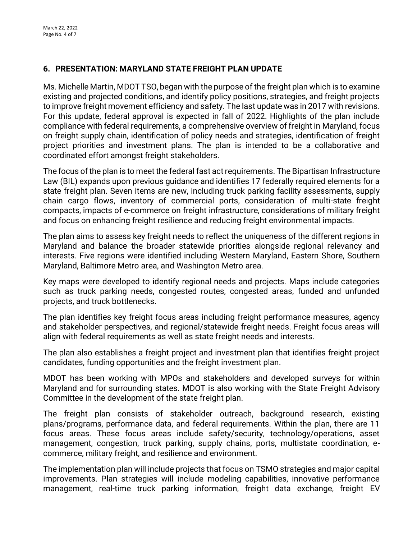# **6. PRESENTATION: MARYLAND STATE FREIGHT PLAN UPDATE**

Ms. Michelle Martin, MDOT TSO, began with the purpose of the freight plan which is to examine existing and projected conditions, and identify policy positions, strategies, and freight projects to improve freight movement efficiency and safety. The last update was in 2017 with revisions. For this update, federal approval is expected in fall of 2022. Highlights of the plan include compliance with federal requirements, a comprehensive overview of freight in Maryland, focus on freight supply chain, identification of policy needs and strategies, identification of freight project priorities and investment plans. The plan is intended to be a collaborative and coordinated effort amongst freight stakeholders.

The focus of the plan is to meet the federal fast act requirements. The Bipartisan Infrastructure Law (BIL) expands upon previous guidance and identifies 17 federally required elements for a state freight plan. Seven items are new, including truck parking facility assessments, supply chain cargo flows, inventory of commercial ports, consideration of multi-state freight compacts, impacts of e-commerce on freight infrastructure, considerations of military freight and focus on enhancing freight resilience and reducing freight environmental impacts.

The plan aims to assess key freight needs to reflect the uniqueness of the different regions in Maryland and balance the broader statewide priorities alongside regional relevancy and interests. Five regions were identified including Western Maryland, Eastern Shore, Southern Maryland, Baltimore Metro area, and Washington Metro area.

Key maps were developed to identify regional needs and projects. Maps include categories such as truck parking needs, congested routes, congested areas, funded and unfunded projects, and truck bottlenecks.

The plan identifies key freight focus areas including freight performance measures, agency and stakeholder perspectives, and regional/statewide freight needs. Freight focus areas will align with federal requirements as well as state freight needs and interests.

The plan also establishes a freight project and investment plan that identifies freight project candidates, funding opportunities and the freight investment plan.

MDOT has been working with MPOs and stakeholders and developed surveys for within Maryland and for surrounding states. MDOT is also working with the State Freight Advisory Committee in the development of the state freight plan.

The freight plan consists of stakeholder outreach, background research, existing plans/programs, performance data, and federal requirements. Within the plan, there are 11 focus areas. These focus areas include safety/security, technology/operations, asset management, congestion, truck parking, supply chains, ports, multistate coordination, ecommerce, military freight, and resilience and environment.

The implementation plan will include projects that focus on TSMO strategies and major capital improvements. Plan strategies will include modeling capabilities, innovative performance management, real-time truck parking information, freight data exchange, freight EV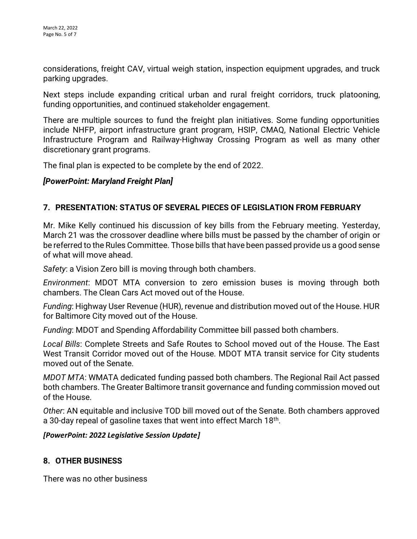considerations, freight CAV, virtual weigh station, inspection equipment upgrades, and truck parking upgrades.

Next steps include expanding critical urban and rural freight corridors, truck platooning, funding opportunities, and continued stakeholder engagement.

There are multiple sources to fund the freight plan initiatives. Some funding opportunities include NHFP, airport infrastructure grant program, HSIP, CMAQ, National Electric Vehicle Infrastructure Program and Railway-Highway Crossing Program as well as many other discretionary grant programs.

The final plan is expected to be complete by the end of 2022.

# *[PowerPoint: Maryland Freight Plan]*

# **7. PRESENTATION: STATUS OF SEVERAL PIECES OF LEGISLATION FROM FEBRUARY**

Mr. Mike Kelly continued his discussion of key bills from the February meeting. Yesterday, March 21 was the crossover deadline where bills must be passed by the chamber of origin or be referred to the Rules Committee. Those bills that have been passed provide us a good sense of what will move ahead.

*Safety*: a Vision Zero bill is moving through both chambers.

*Environment*: MDOT MTA conversion to zero emission buses is moving through both chambers. The Clean Cars Act moved out of the House.

*Funding*: Highway User Revenue (HUR), revenue and distribution moved out of the House. HUR for Baltimore City moved out of the House.

*Funding*: MDOT and Spending Affordability Committee bill passed both chambers.

*Local Bills*: Complete Streets and Safe Routes to School moved out of the House. The East West Transit Corridor moved out of the House. MDOT MTA transit service for City students moved out of the Senate.

*MDOT MTA*: WMATA dedicated funding passed both chambers. The Regional Rail Act passed both chambers. The Greater Baltimore transit governance and funding commission moved out of the House.

*Other*: AN equitable and inclusive TOD bill moved out of the Senate. Both chambers approved a 30-day repeal of gasoline taxes that went into effect March 18<sup>th</sup>.

*[PowerPoint: 2022 Legislative Session Update]*

## **8. OTHER BUSINESS**

There was no other business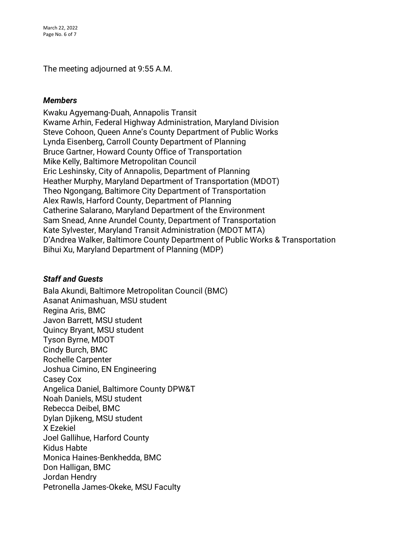March 22, 2022 Page No. 6 of 7

The meeting adjourned at 9:55 A.M.

#### *Members*

Kwaku Agyemang-Duah, Annapolis Transit Kwame Arhin, Federal Highway Administration, Maryland Division Steve Cohoon, Queen Anne's County Department of Public Works Lynda Eisenberg, Carroll County Department of Planning Bruce Gartner, Howard County Office of Transportation Mike Kelly, Baltimore Metropolitan Council Eric Leshinsky, City of Annapolis, Department of Planning Heather Murphy, Maryland Department of Transportation (MDOT) Theo Ngongang, Baltimore City Department of Transportation Alex Rawls, Harford County, Department of Planning Catherine Salarano, Maryland Department of the Environment Sam Snead, Anne Arundel County, Department of Transportation Kate Sylvester, Maryland Transit Administration (MDOT MTA) D'Andrea Walker, Baltimore County Department of Public Works & Transportation Bihui Xu, Maryland Department of Planning (MDP)

#### *Staff and Guests*

Bala Akundi, Baltimore Metropolitan Council (BMC) Asanat Animashuan, MSU student Regina Aris, BMC Javon Barrett, MSU student Quincy Bryant, MSU student Tyson Byrne, MDOT Cindy Burch, BMC Rochelle Carpenter Joshua Cimino, EN Engineering Casey Cox Angelica Daniel, Baltimore County DPW&T Noah Daniels, MSU student Rebecca Deibel, BMC Dylan Djikeng, MSU student X Ezekiel Joel Gallihue, Harford County Kidus Habte Monica Haines-Benkhedda, BMC Don Halligan, BMC Jordan Hendry Petronella James-Okeke, MSU Faculty